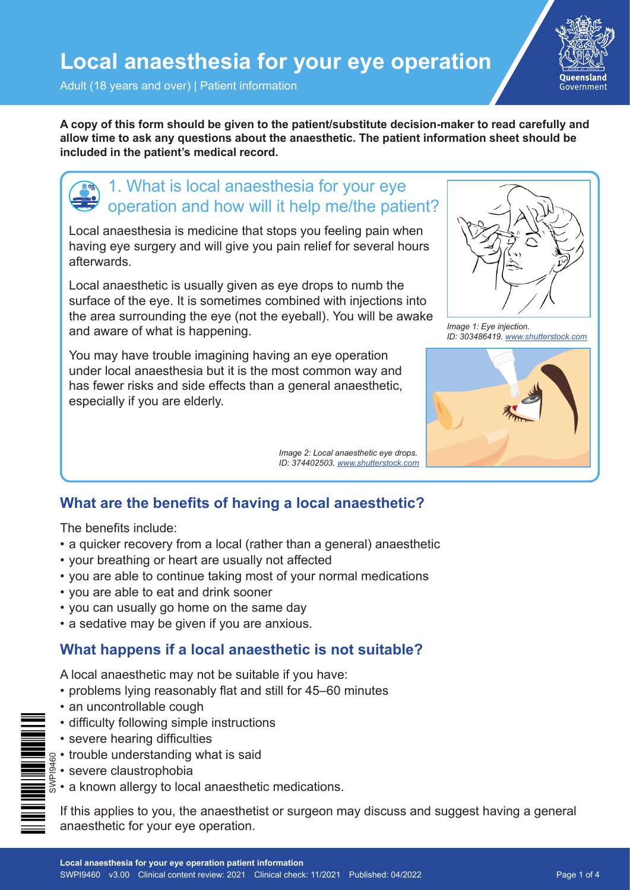

Adult (18 years and over) | Patient information

**A copy of this form should be given to the patient/substitute decision-maker to read carefully and allow time to ask any questions about the anaesthetic. The patient information sheet should be included in the patient's medical record.**

## 1. What is local anaesthesia for your eye operation and how will it help me/the patient?

Local anaesthesia is medicine that stops you feeling pain when having eye surgery and will give you pain relief for several hours afterwards.

Local anaesthetic is usually given as eye drops to numb the surface of the eye. It is sometimes combined with injections into the area surrounding the eye (not the eyeball). You will be awake and aware of what is happening.

You may have trouble imagining having an eye operation under local anaesthesia but it is the most common way and has fewer risks and side effects than a general anaesthetic, especially if you are elderly.

> *Image 2: Local anaesthetic eye drops. ID: 374402503. [www.shutterstock.com](http://www.shutterstock.com)*



*Image 1: Eye injection. ID: 303486419. [www.shutterstock.com](http://www.qld.gov.au/health/services/hospital-care/before-after where you can read about your healthcare rights)*



## **What are the benefits of having a local anaesthetic?**

The benefits include:

- a quicker recovery from a local (rather than a general) anaesthetic
- your breathing or heart are usually not affected
- you are able to continue taking most of your normal medications
- you are able to eat and drink sooner
- you can usually go home on the same day
- a sedative may be given if you are anxious.

#### **What happens if a local anaesthetic is not suitable?**

A local anaesthetic may not be suitable if you have:

- problems lying reasonably flat and still for 45–60 minutes
- an uncontrollable cough
- difficulty following simple instructions
- severe hearing difficulties
- trouble understanding what is said
	- severe claustrophobia
	- a known allergy to local anaesthetic medications.

If this applies to you, the anaesthetist or surgeon may discuss and suggest having a general anaesthetic for your eye operation.

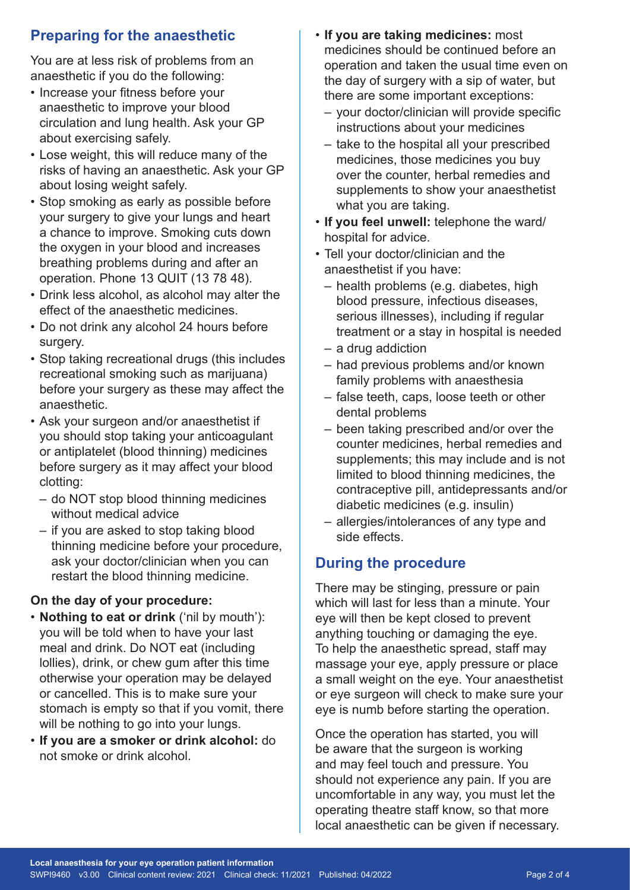## **Preparing for the anaesthetic**

You are at less risk of problems from an anaesthetic if you do the following:

- Increase your fitness before your anaesthetic to improve your blood circulation and lung health. Ask your GP about exercising safely.
- Lose weight, this will reduce many of the risks of having an anaesthetic. Ask your GP about losing weight safely.
- Stop smoking as early as possible before your surgery to give your lungs and heart a chance to improve. Smoking cuts down the oxygen in your blood and increases breathing problems during and after an operation. Phone 13 QUIT (13 78 48).
- Drink less alcohol, as alcohol may alter the effect of the anaesthetic medicines.
- Do not drink any alcohol 24 hours before surgery.
- Stop taking recreational drugs (this includes recreational smoking such as marijuana) before your surgery as these may affect the anaesthetic.
- Ask your surgeon and/or anaesthetist if you should stop taking your anticoagulant or antiplatelet (blood thinning) medicines before surgery as it may affect your blood clotting:
	- do NOT stop blood thinning medicines without medical advice
	- if you are asked to stop taking blood thinning medicine before your procedure, ask your doctor/clinician when you can restart the blood thinning medicine.

#### **On the day of your procedure:**

- **Nothing to eat or drink** ('nil by mouth'): you will be told when to have your last meal and drink. Do NOT eat (including lollies), drink, or chew gum after this time otherwise your operation may be delayed or cancelled. This is to make sure your stomach is empty so that if you vomit, there will be nothing to go into your lungs.
- **If you are a smoker or drink alcohol:** do not smoke or drink alcohol.
- **If you are taking medicines:** most medicines should be continued before an operation and taken the usual time even on the day of surgery with a sip of water, but there are some important exceptions:
	- your doctor/clinician will provide specific instructions about your medicines
	- take to the hospital all your prescribed medicines, those medicines you buy over the counter, herbal remedies and supplements to show your anaesthetist what you are taking.
- **If you feel unwell:** telephone the ward/ hospital for advice.
- Tell your doctor/clinician and the anaesthetist if you have:
	- health problems (e.g. diabetes, high blood pressure, infectious diseases, serious illnesses), including if regular treatment or a stay in hospital is needed
	- a drug addiction
	- had previous problems and/or known family problems with anaesthesia
	- false teeth, caps, loose teeth or other dental problems
	- been taking prescribed and/or over the counter medicines, herbal remedies and supplements; this may include and is not limited to blood thinning medicines, the contraceptive pill, antidepressants and/or diabetic medicines (e.g. insulin)
	- allergies/intolerances of any type and side effects.

### **During the procedure**

There may be stinging, pressure or pain which will last for less than a minute. Your eye will then be kept closed to prevent anything touching or damaging the eye. To help the anaesthetic spread, staff may massage your eye, apply pressure or place a small weight on the eye. Your anaesthetist or eye surgeon will check to make sure your eye is numb before starting the operation.

Once the operation has started, you will be aware that the surgeon is working and may feel touch and pressure. You should not experience any pain. If you are uncomfortable in any way, you must let the operating theatre staff know, so that more local anaesthetic can be given if necessary.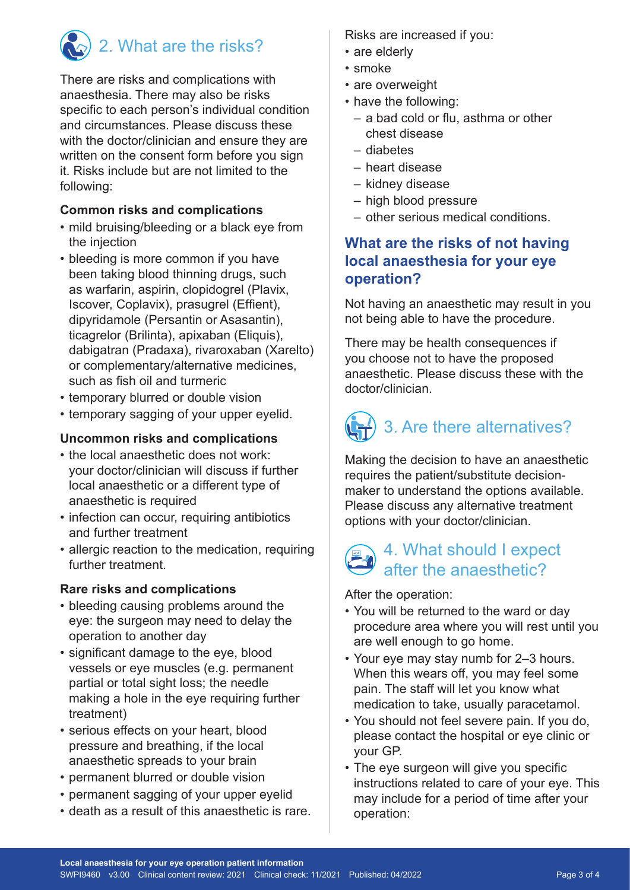

# 2. What are the risks?

There are risks and complications with anaesthesia. There may also be risks specific to each person's individual condition and circumstances. Please discuss these with the doctor/clinician and ensure they are written on the consent form before you sign it. Risks include but are not limited to the following:

#### **Common risks and complications**

- mild bruising/bleeding or a black eye from the injection
- bleeding is more common if you have been taking blood thinning drugs, such as warfarin, aspirin, clopidogrel (Plavix, Iscover, Coplavix), prasugrel (Effient), dipyridamole (Persantin or Asasantin), ticagrelor (Brilinta), apixaban (Eliquis), dabigatran (Pradaxa), rivaroxaban (Xarelto) or complementary/alternative medicines, such as fish oil and turmeric
- temporary blurred or double vision
- temporary sagging of your upper eyelid.

#### **Uncommon risks and complications**

- the local anaesthetic does not work: your doctor/clinician will discuss if further local anaesthetic or a different type of anaesthetic is required
- infection can occur, requiring antibiotics and further treatment
- allergic reaction to the medication, requiring further treatment.

#### **Rare risks and complications**

- bleeding causing problems around the eye: the surgeon may need to delay the operation to another day
- significant damage to the eye, blood vessels or eye muscles (e.g. permanent partial or total sight loss; the needle making a hole in the eye requiring further treatment)
- serious effects on your heart, blood pressure and breathing, if the local anaesthetic spreads to your brain
- permanent blurred or double vision
- permanent sagging of your upper eyelid
- death as a result of this anaesthetic is rare.

Risks are increased if you:

- are elderly
- smoke
- are overweight
- have the following:
	- a bad cold or flu, asthma or other chest disease
	- diabetes
	- heart disease
	- kidney disease
	- high blood pressure
	- other serious medical conditions.

## **What are the risks of not having local anaesthesia for your eye operation?**

Not having an anaesthetic may result in you not being able to have the procedure.

There may be health consequences if you choose not to have the proposed anaesthetic. Please discuss these with the doctor/clinician.

# 3. Are there alternatives?

Making the decision to have an anaesthetic requires the patient/substitute decisionmaker to understand the options available. Please discuss any alternative treatment options with your doctor/clinician.

## 4. What should I expect after the anaesthetic?

After the operation:

- You will be returned to the ward or day procedure area where you will rest until you are well enough to go home.
- Your eye may stay numb for 2–3 hours. When this wears off, you may feel some pain. The staff will let you know what medication to take, usually paracetamol.
- You should not feel severe pain. If you do, please contact the hospital or eye clinic or your GP.
- The eye surgeon will give you specific instructions related to care of your eye. This may include for a period of time after your operation: